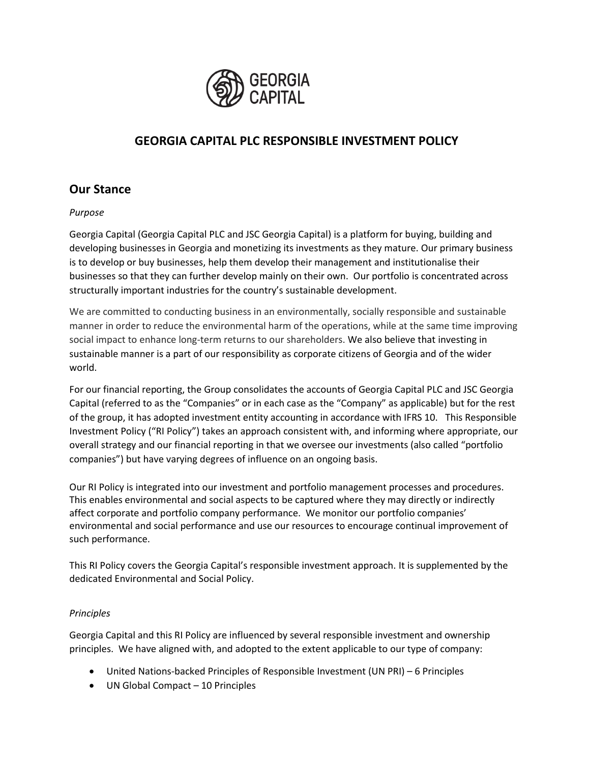

# **GEORGIA CAPITAL PLC RESPONSIBLE INVESTMENT POLICY**

### **Our Stance**

#### *Purpose*

Georgia Capital (Georgia Capital PLC and JSC Georgia Capital) is a platform for buying, building and developing businesses in Georgia and monetizing its investments as they mature. Our primary business is to develop or buy businesses, help them develop their management and institutionalise their businesses so that they can further develop mainly on their own. Our portfolio is concentrated across structurally important industries for the country's sustainable development.

We are committed to conducting business in an environmentally, socially responsible and sustainable manner in order to reduce the environmental harm of the operations, while at the same time improving social impact to enhance long-term returns to our shareholders. We also believe that investing in sustainable manner is a part of our responsibility as corporate citizens of Georgia and of the wider world.

For our financial reporting, the Group consolidates the accounts of Georgia Capital PLC and JSC Georgia Capital (referred to as the "Companies" or in each case as the "Company" as applicable) but for the rest of the group, it has adopted investment entity accounting in accordance with IFRS 10. This Responsible Investment Policy ("RI Policy") takes an approach consistent with, and informing where appropriate, our overall strategy and our financial reporting in that we oversee our investments (also called "portfolio companies") but have varying degrees of influence on an ongoing basis.

Our RI Policy is integrated into our investment and portfolio management processes and procedures. This enables environmental and social aspects to be captured where they may directly or indirectly affect corporate and portfolio company performance. We monitor our portfolio companies' environmental and social performance and use our resources to encourage continual improvement of such performance.

This RI Policy covers the Georgia Capital's responsible investment approach. It is supplemented by the dedicated Environmental and Social Policy.

#### *Principles*

Georgia Capital and this RI Policy are influenced by several responsible investment and ownership principles. We have aligned with, and adopted to the extent applicable to our type of company:

- United Nations-backed Principles of Responsible Investment (UN PRI) 6 Principles
- UN Global Compact 10 Principles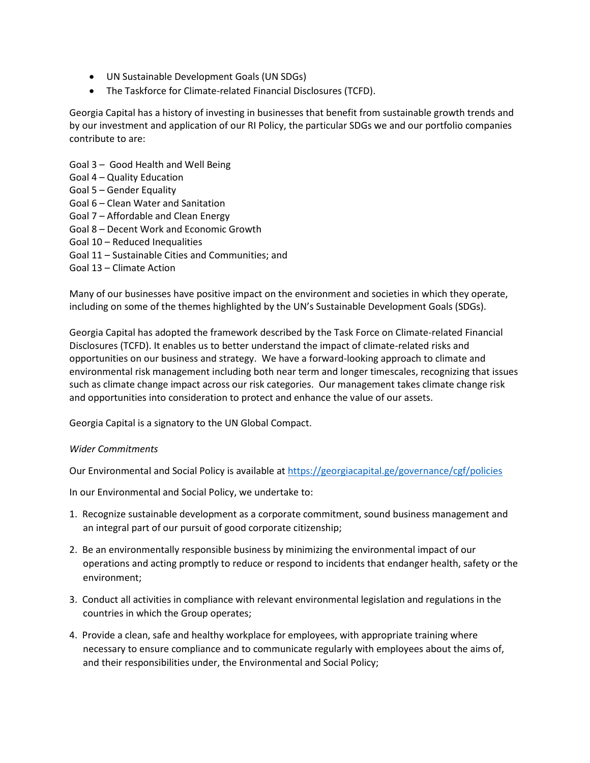- UN Sustainable Development Goals (UN SDGs)
- The Taskforce for Climate-related Financial Disclosures (TCFD).

Georgia Capital has a history of investing in businesses that benefit from sustainable growth trends and by our investment and application of our RI Policy, the particular SDGs we and our portfolio companies contribute to are:

- Goal 3 Good Health and Well Being
- Goal 4 Quality Education
- Goal 5 Gender Equality
- Goal 6 Clean Water and Sanitation
- Goal 7 Affordable and Clean Energy
- Goal 8 Decent Work and Economic Growth
- Goal 10 Reduced Inequalities
- Goal 11 Sustainable Cities and Communities; and
- Goal 13 Climate Action

Many of our businesses have positive impact on the environment and societies in which they operate, including on some of the themes highlighted by the UN's Sustainable Development Goals (SDGs).

Georgia Capital has adopted the framework described by the Task Force on Climate-related Financial Disclosures (TCFD). It enables us to better understand the impact of climate-related risks and opportunities on our business and strategy. We have a forward-looking approach to climate and environmental risk management including both near term and longer timescales, recognizing that issues such as climate change impact across our risk categories. Our management takes climate change risk and opportunities into consideration to protect and enhance the value of our assets.

Georgia Capital is a signatory to the UN Global Compact.

#### *Wider Commitments*

Our Environmental and Social Policy is available a[t https://georgiacapital.ge/governance/cgf/policies](https://georgiacapital.ge/governance/cgf/policies)

In our Environmental and Social Policy, we undertake to:

- 1. Recognize sustainable development as a corporate commitment, sound business management and an integral part of our pursuit of good corporate citizenship;
- 2. Be an environmentally responsible business by minimizing the environmental impact of our operations and acting promptly to reduce or respond to incidents that endanger health, safety or the environment;
- 3. Conduct all activities in compliance with relevant environmental legislation and regulations in the countries in which the Group operates;
- 4. Provide a clean, safe and healthy workplace for employees, with appropriate training where necessary to ensure compliance and to communicate regularly with employees about the aims of, and their responsibilities under, the Environmental and Social Policy;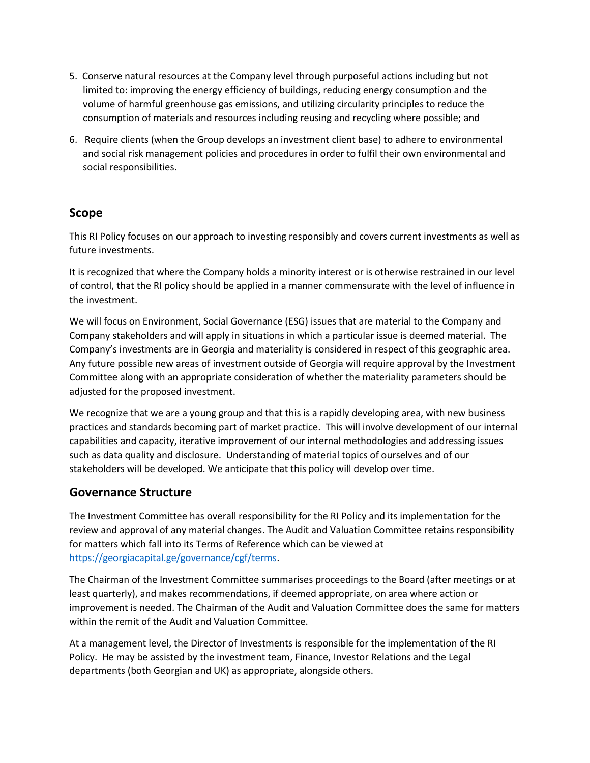- 5. Conserve natural resources at the Company level through purposeful actions including but not limited to: improving the energy efficiency of buildings, reducing energy consumption and the volume of harmful greenhouse gas emissions, and utilizing circularity principles to reduce the consumption of materials and resources including reusing and recycling where possible; and
- 6. Require clients (when the Group develops an investment client base) to adhere to environmental and social risk management policies and procedures in order to fulfil their own environmental and social responsibilities.

### **Scope**

This RI Policy focuses on our approach to investing responsibly and covers current investments as well as future investments.

It is recognized that where the Company holds a minority interest or is otherwise restrained in our level of control, that the RI policy should be applied in a manner commensurate with the level of influence in the investment.

We will focus on Environment, Social Governance (ESG) issues that are material to the Company and Company stakeholders and will apply in situations in which a particular issue is deemed material. The Company's investments are in Georgia and materiality is considered in respect of this geographic area. Any future possible new areas of investment outside of Georgia will require approval by the Investment Committee along with an appropriate consideration of whether the materiality parameters should be adjusted for the proposed investment.

We recognize that we are a young group and that this is a rapidly developing area, with new business practices and standards becoming part of market practice. This will involve development of our internal capabilities and capacity, iterative improvement of our internal methodologies and addressing issues such as data quality and disclosure. Understanding of material topics of ourselves and of our stakeholders will be developed. We anticipate that this policy will develop over time.

### **Governance Structure**

The Investment Committee has overall responsibility for the RI Policy and its implementation for the review and approval of any material changes. The Audit and Valuation Committee retains responsibility for matters which fall into its Terms of Reference which can be viewed at [https://georgiacapital.ge/governance/cgf/terms.](https://georgiacapital.ge/governance/cgf/terms)

The Chairman of the Investment Committee summarises proceedings to the Board (after meetings or at least quarterly), and makes recommendations, if deemed appropriate, on area where action or improvement is needed. The Chairman of the Audit and Valuation Committee does the same for matters within the remit of the Audit and Valuation Committee.

At a management level, the Director of Investments is responsible for the implementation of the RI Policy. He may be assisted by the investment team, Finance, Investor Relations and the Legal departments (both Georgian and UK) as appropriate, alongside others.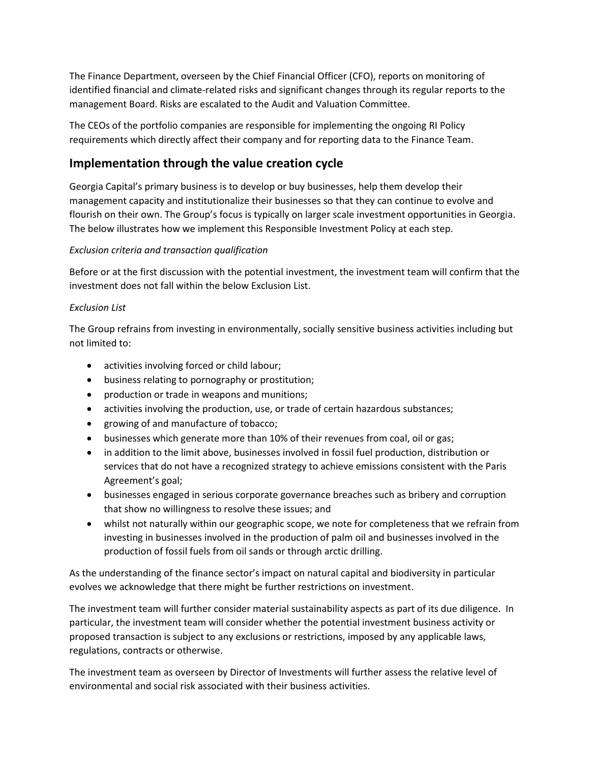The Finance Department, overseen by the Chief Financial Officer (CFO), reports on monitoring of identified financial and climate-related risks and significant changes through its regular reports to the management Board. Risks are escalated to the Audit and Valuation Committee.

The CEOs of the portfolio companies are responsible for implementing the ongoing RI Policy requirements which directly affect their company and for reporting data to the Finance Team.

## **Implementation through the value creation cycle**

Georgia Capital's primary business is to develop or buy businesses, help them develop their management capacity and institutionalize their businesses so that they can continue to evolve and flourish on their own. The Group's focus is typically on larger scale investment opportunities in Georgia. The below illustrates how we implement this Responsible Investment Policy at each step.

#### *Exclusion criteria and transaction qualification*

Before or at the first discussion with the potential investment, the investment team will confirm that the investment does not fall within the below Exclusion List.

#### *Exclusion List*

The Group refrains from investing in environmentally, socially sensitive business activities including but not limited to:

- activities involving forced or child labour;
- business relating to pornography or prostitution;
- production or trade in weapons and munitions;
- activities involving the production, use, or trade of certain hazardous substances;
- growing of and manufacture of tobacco;
- businesses which generate more than 10% of their revenues from coal, oil or gas;
- in addition to the limit above, businesses involved in fossil fuel production, distribution or services that do not have a recognized strategy to achieve emissions consistent with the Paris Agreement's goal;
- businesses engaged in serious corporate governance breaches such as bribery and corruption that show no willingness to resolve these issues; and
- whilst not naturally within our geographic scope, we note for completeness that we refrain from investing in businesses involved in the production of palm oil and businesses involved in the production of fossil fuels from oil sands or through arctic drilling.

As the understanding of the finance sector's impact on natural capital and biodiversity in particular evolves we acknowledge that there might be further restrictions on investment.

The investment team will further consider material sustainability aspects as part of its due diligence.In particular, the investment team will consider whether the potential investment business activity or proposed transaction is subject to any exclusions or restrictions, imposed by any applicable laws, regulations, contracts or otherwise.

The investment team as overseen by Director of Investments will further assess the relative level of environmental and social risk associated with their business activities.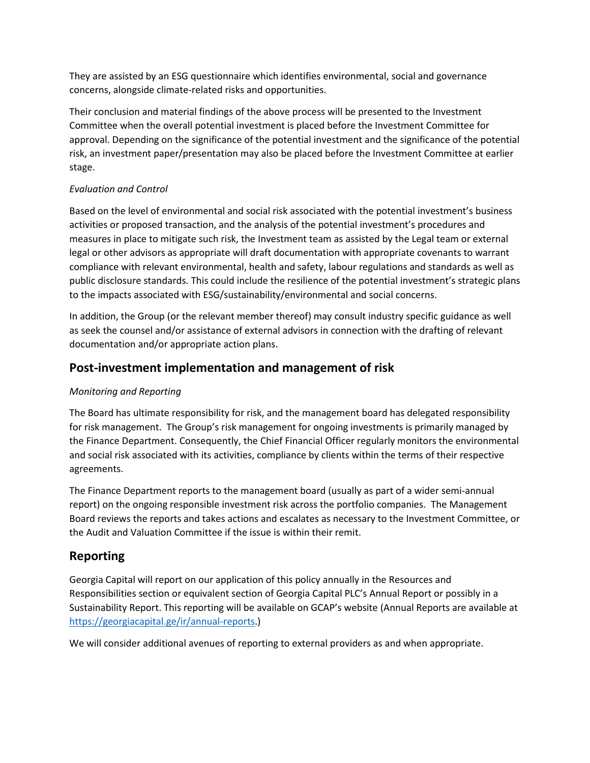They are assisted by an ESG questionnaire which identifies environmental, social and governance concerns, alongside climate-related risks and opportunities.

Their conclusion and material findings of the above process will be presented to the Investment Committee when the overall potential investment is placed before the Investment Committee for approval. Depending on the significance of the potential investment and the significance of the potential risk, an investment paper/presentation may also be placed before the Investment Committee at earlier stage.

#### *Evaluation and Control*

Based on the level of environmental and social risk associated with the potential investment's business activities or proposed transaction, and the analysis of the potential investment's procedures and measures in place to mitigate such risk, the Investment team as assisted by the Legal team or external legal or other advisors as appropriate will draft documentation with appropriate covenants to warrant compliance with relevant environmental, health and safety, labour regulations and standards as well as public disclosure standards. This could include the resilience of the potential investment's strategic plans to the impacts associated with ESG/sustainability/environmental and social concerns.

In addition, the Group (or the relevant member thereof) may consult industry specific guidance as well as seek the counsel and/or assistance of external advisors in connection with the drafting of relevant documentation and/or appropriate action plans.

### **Post-investment implementation and management of risk**

#### *Monitoring and Reporting*

The Board has ultimate responsibility for risk, and the management board has delegated responsibility for risk management. The Group's risk management for ongoing investments is primarily managed by the Finance Department. Consequently, the Chief Financial Officer regularly monitors the environmental and social risk associated with its activities, compliance by clients within the terms of their respective agreements.

The Finance Department reports to the management board (usually as part of a wider semi-annual report) on the ongoing responsible investment risk across the portfolio companies. The Management Board reviews the reports and takes actions and escalates as necessary to the Investment Committee, or the Audit and Valuation Committee if the issue is within their remit.

# **Reporting**

Georgia Capital will report on our application of this policy annually in the Resources and Responsibilities section or equivalent section of Georgia Capital PLC's Annual Report or possibly in a Sustainability Report. This reporting will be available on GCAP's website (Annual Reports are available at [https://georgiacapital.ge/ir/annual-reports.](https://georgiacapital.ge/ir/annual-reports))

We will consider additional avenues of reporting to external providers as and when appropriate.